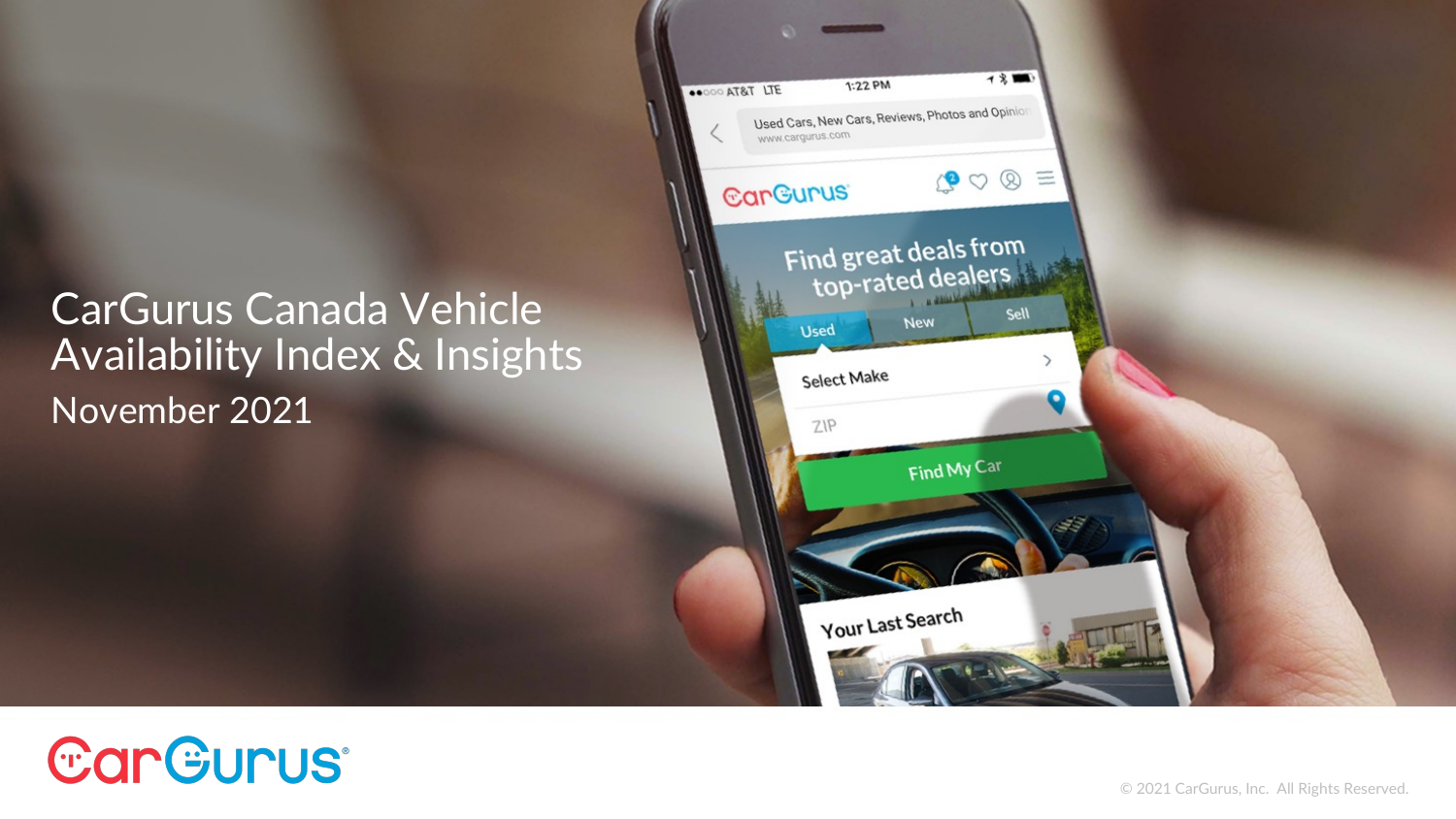#### CarGurus Canada Vehicle Availability Index & Insights November 2021



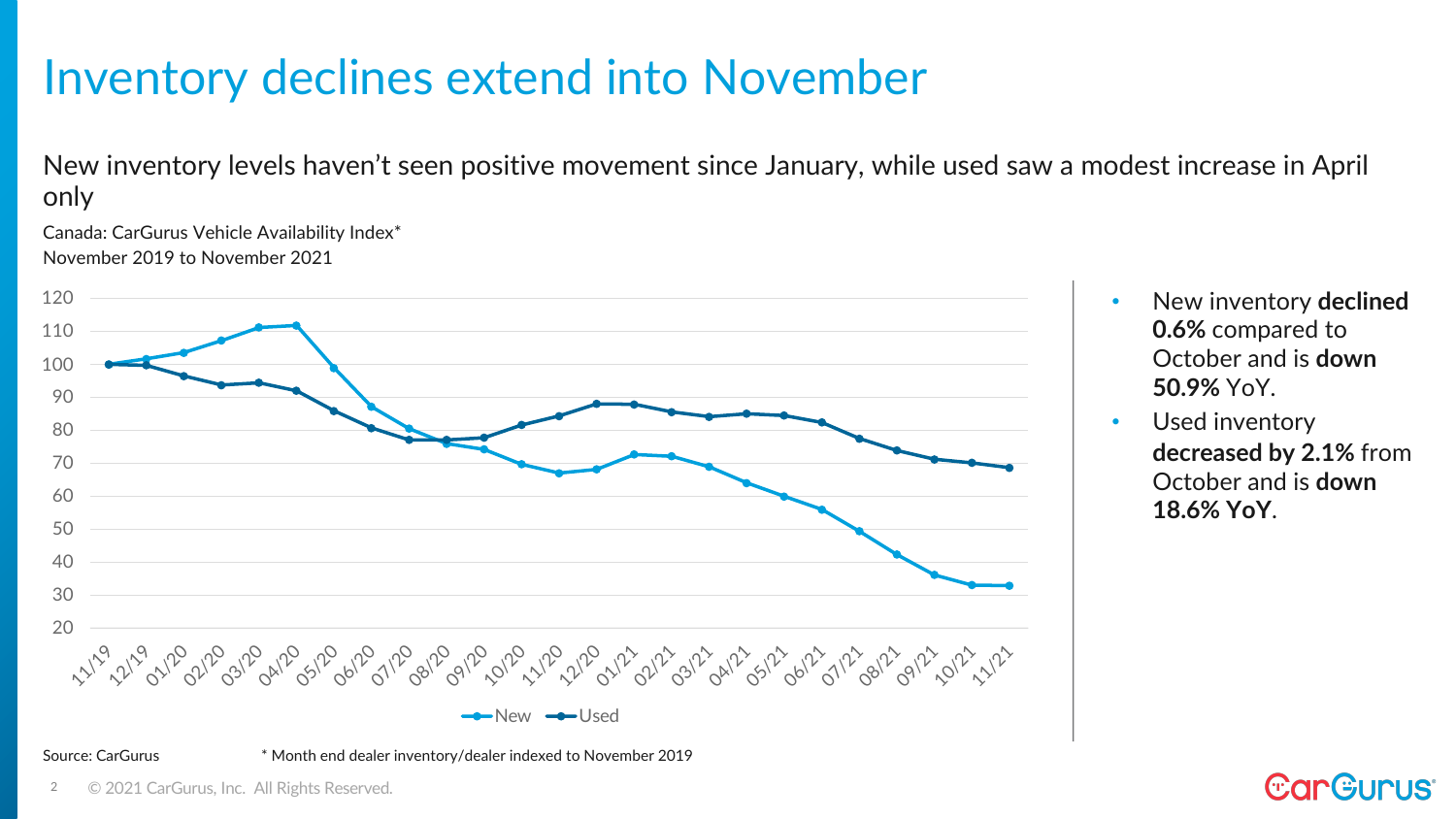### Inventory declines extend into November

New inventory levels haven't seen positive movement since January, while used saw a modest increase in April only

Canada: CarGurus Vehicle Availability Index\* November 2019 to November 2021



- New inventory **declined 0.6%** compared to October and is **down 50.9%** YoY.
- Used inventory **decreased by 2.1%** from October and is **down 18.6% YoY**.

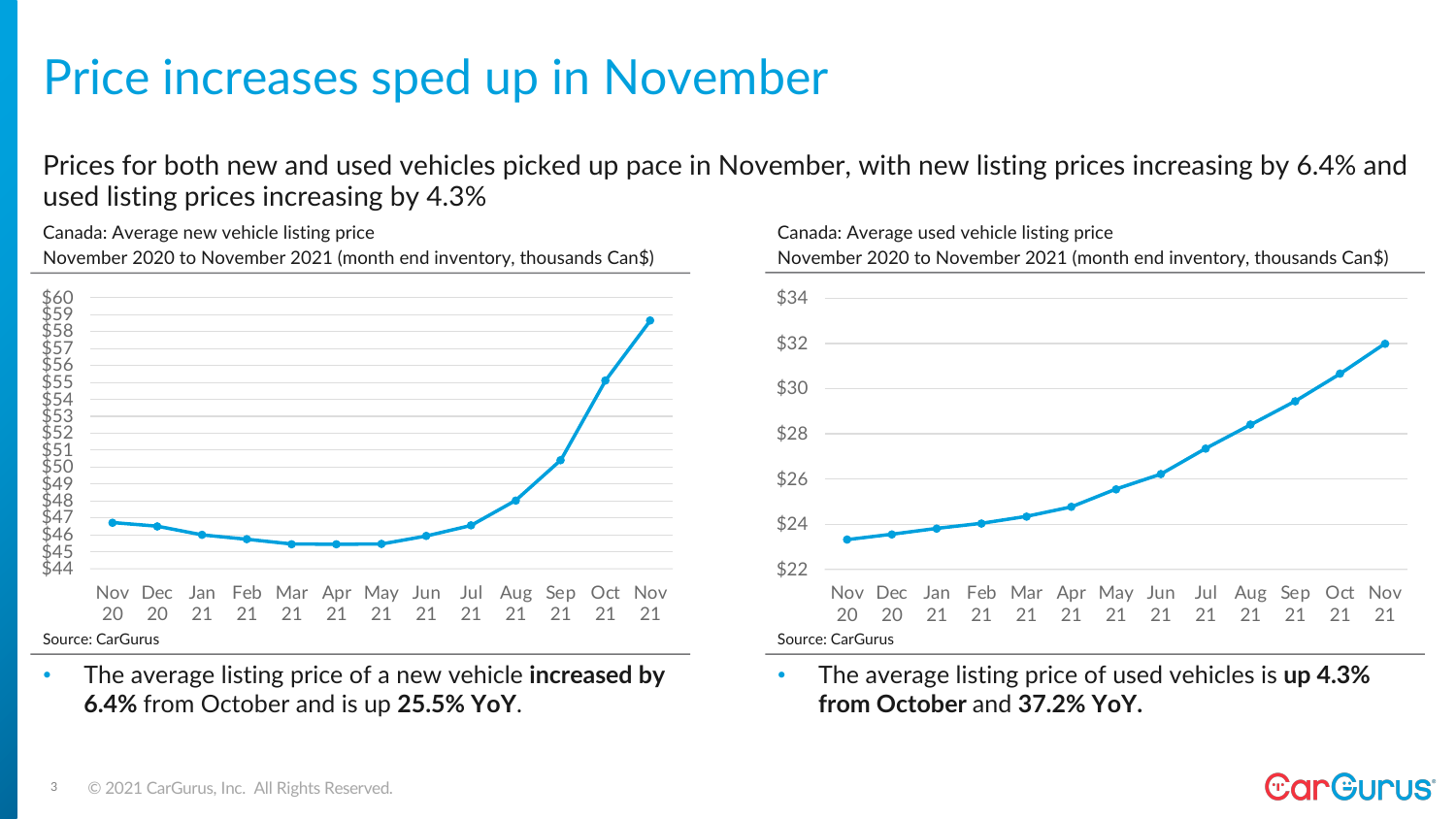## Price increases sped up in November

Prices for both new and used vehicles picked up pace in November, with new listing prices increasing by 6.4% and used listing prices increasing by 4.3%

Canada: Average new vehicle listing price

November 2020 to November 2021 (month end inventory, thousands Can\$)



• The average listing price of a new vehicle **increased by 6.4%** from October and is up **25.5% YoY**.



• The average listing price of used vehicles is **up 4.3% from October** and **37.2% YoY.**

#### **CarG** IS'